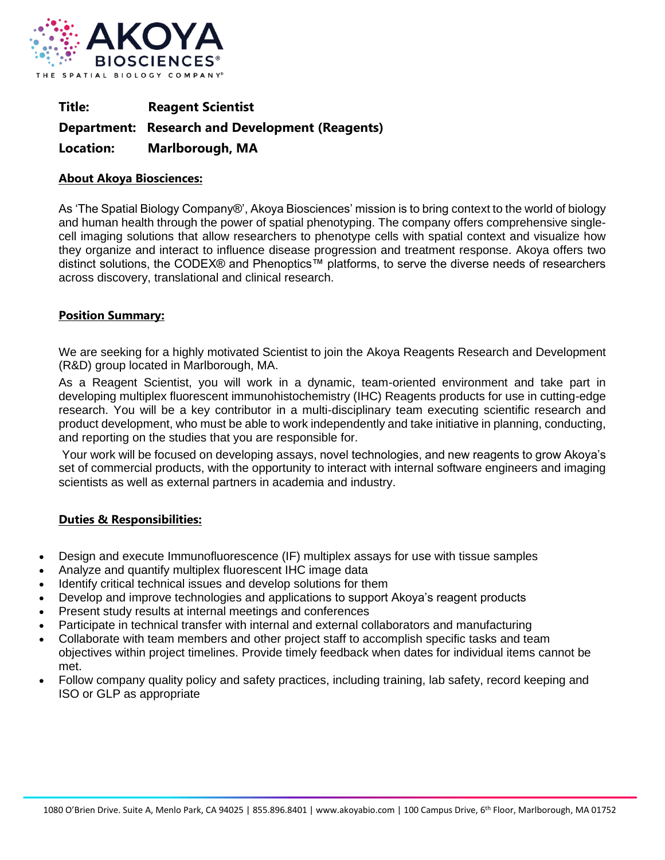

**Title: Reagent Scientist Department: Research and Development (Reagents) Location: Marlborough, MA** 

## **About Akoya Biosciences:**

As 'The Spatial Biology Company®', Akoya Biosciences' mission is to bring context to the world of biology and human health through the power of spatial phenotyping. The company offers comprehensive singlecell imaging solutions that allow researchers to phenotype cells with spatial context and visualize how they organize and interact to influence disease progression and treatment response. Akoya offers two distinct solutions, the CODEX® and Phenoptics™ platforms, to serve the diverse needs of researchers across discovery, translational and clinical research.

## **Position Summary:**

We are seeking for a highly motivated Scientist to join the Akoya Reagents Research and Development (R&D) group located in Marlborough, MA.

As a Reagent Scientist, you will work in a dynamic, team-oriented environment and take part in developing multiplex fluorescent immunohistochemistry (IHC) Reagents products for use in cutting-edge research. You will be a key contributor in a multi-disciplinary team executing scientific research and product development, who must be able to work independently and take initiative in planning, conducting, and reporting on the studies that you are responsible for.

Your work will be focused on developing assays, novel technologies, and new reagents to grow Akoya's set of commercial products, with the opportunity to interact with internal software engineers and imaging scientists as well as external partners in academia and industry.

## **Duties & Responsibilities:**

- Design and execute Immunofluorescence (IF) multiplex assays for use with tissue samples
- Analyze and quantify multiplex fluorescent IHC image data
- Identify critical technical issues and develop solutions for them
- Develop and improve technologies and applications to support Akoya's reagent products
- Present study results at internal meetings and conferences
- Participate in technical transfer with internal and external collaborators and manufacturing
- Collaborate with team members and other project staff to accomplish specific tasks and team objectives within project timelines. Provide timely feedback when dates for individual items cannot be met.
- Follow company quality policy and safety practices, including training, lab safety, record keeping and ISO or GLP as appropriate